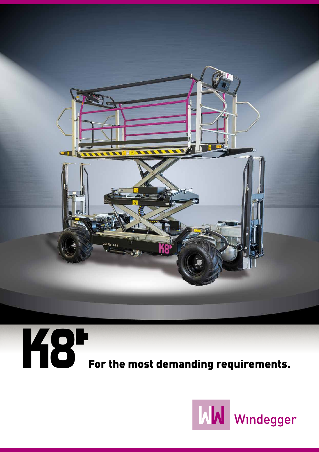



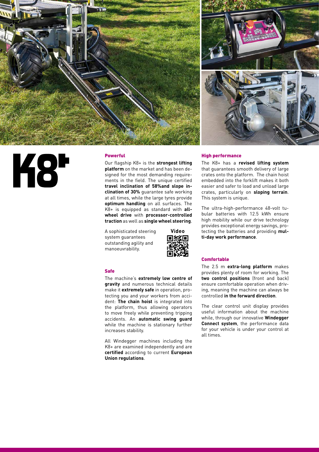



# **K8\***

## Powerful

Our flagship K8+ is the **strongest lifting platform** on the market and has been designed for the most demanding requirements in the field. The unique certified **travel inclination of 58%and slope inclination of 30%** guarantee safe working at all times, while the large tyres provide **optimum handling** on all surfaces. The K8+ is equipped as standard with **allwheel drive** with **processor-controlled traction** as well as **single wheel steering**.

A sophisticated steering system guarantees outstanding agility and manoeuvrability.



#### Safe

The machine's **extremely low centre of gravity** and numerous technical details make it **extremely safe** in operation, protecting you and your workers from accident: **The chain hoist** is integrated into the platform, thus allowing operators to move freely while preventing tripping accidents. An **automatic swing guard** while the machine is stationary further increases stability.

All Windegger machines including the K8+ are examined independently and are **certified** according to current **European Union regulations**.

## High performance

The K8+ has a **revised lifting system** that guarantees smooth delivery of large crates onto the platform. The chain hoist embedded into the forklift makes it both easier and safer to load and unload large crates, particularly on **sloping terrain**. This system is unique.

The ultra-high-performance 48-volt tubular batteries with 12.5 kWh ensure high mobility while our drive technology provides exceptional energy savings, protecting the batteries and providing **multi-day work performance**.

### **Comfortable**

The 2.5 m **extra-long platform** makes provides plenty of room for working. The **two control positions** (front and back) ensure comfortable operation when driving, meaning the machine can always be controlled **in the forward direction**.

The clear control unit display provides useful information about the machine while, through our innovative **Windegger Connect system**, the performance data for your vehicle is under your control at all times.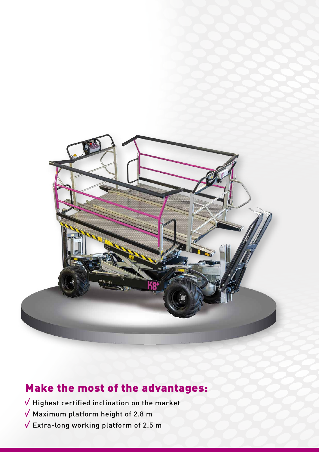

# Make the most of the advantages:

 $\sqrt{}$  Highest certified inclination on the market

- $\sqrt{ }$  Maximum platform height of 2.8 m
- $\sqrt{\phantom{a}}$  Extra-long working platform of 2.5 m